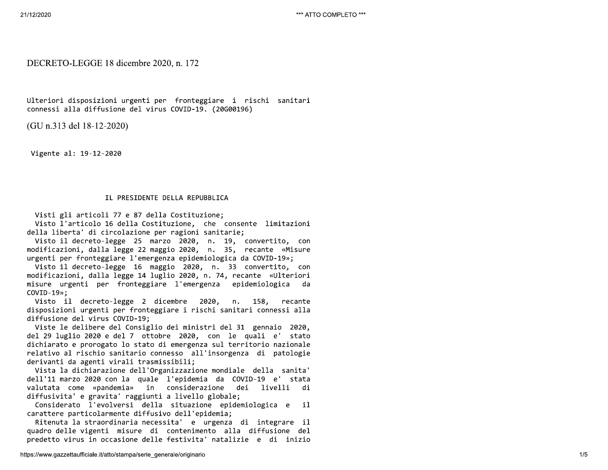\*\*\* ATTO COMPLETO \*\*\*

# DECRETO-LEGGE 18 dicembre 2020, n. 172

Ulteriori disposizioni urgenti per fronteggiare i rischi sanitari connessi alla diffusione del virus COVID-19. (20G00196)

(GU n.313 del 18-12-2020)

Vigente al: 19-12-2020

## IL PRESIDENTE DELLA REPUBBLICA

Visti gli articoli 77 e 87 della Costituzione;

Visto l'articolo 16 della Costituzione, che consente limitazioni della liberta' di circolazione per ragioni sanitarie;

Visto il decreto-legge 25 marzo 2020, n. 19, convertito, con modificazioni, dalla legge 22 maggio 2020, n. 35, recante «Misure urgenti per fronteggiare l'emergenza epidemiologica da COVID-19»;

Visto il decreto-legge 16 maggio 2020, n. 33 convertito, con modificazioni, dalla legge 14 luglio 2020, n. 74, recante «Ulteriori misure urgenti per fronteggiare l'emergenza epidemiologica da  $COVID-19$ <sup>3</sup>;

Visto il decreto-legge 2 dicembre 2020, n. 158, recante disposizioni urgenti per fronteggiare i rischi sanitari connessi alla diffusione del virus COVID-19;

Viste le delibere del Consiglio dei ministri del 31 gennaio 2020, del 29 luglio 2020 e del 7 ottobre 2020, con le quali e' stato dichiarato e prorogato lo stato di emergenza sul territorio nazionale relativo al rischio sanitario connesso all'insorgenza di patologie derivanti da agenti virali trasmissibili;

Vista la dichiarazione dell'Organizzazione mondiale della sanita' dell'11 marzo 2020 con la quale l'epidemia da COVID-19 e' stata valutata come «pandemia» in considerazione dei livelli di diffusivita' e gravita' raggiunti a livello globale;

Considerato l'evolversi della situazione epidemiologica e il. carattere particolarmente diffusivo dell'epidemia;

Ritenuta la straordinaria necessita' e urgenza di integrare il quadro delle vigenti misure di contenimento alla diffusione del predetto virus in occasione delle festivita' natalizie e di inizio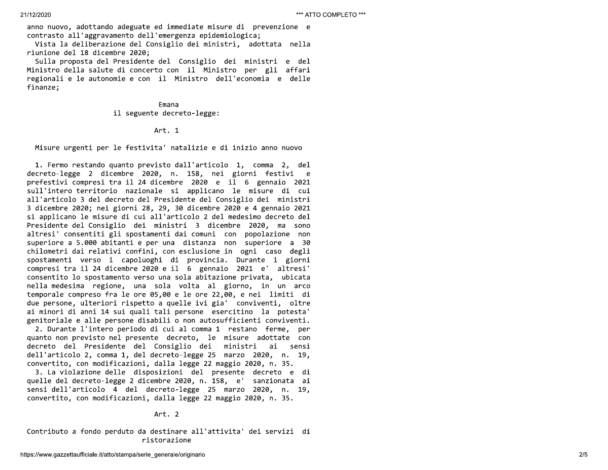anno nuovo, adottando adeguate ed immediate misure di prevenzione e contrasto all'aggravamento dell'emergenza epidemiologica;

Vista la deliberazione del Consiglio dei ministri, adottata nella riunione del 18 dicembre 2020;

Sulla proposta del Presidente del Consiglio dei ministri e del Ministro della salute di concerto con il Ministro per gli affari regionali e le autonomie e con il Ministro dell'economia e delle finanze;

### Emana il seguente decreto-legge:

## Art. 1

Misure urgenti per le festivita' natalizie e di inizio anno nuovo

1. Fermo restando quanto previsto dall'articolo 1, comma 2, del decreto-legge 2 dicembre 2020, n. 158, nei giorni festivi e prefestivi compresi tra il 24 dicembre 2020 e il 6 gennaio 2021 sull'intero territorio nazionale si applicano le misure di cui all'articolo 3 del decreto del Presidente del Consiglio dei ministri 3 dicembre 2020; nei giorni 28, 29, 30 dicembre 2020 e 4 gennaio 2021 si applicano le misure di cui all'articolo 2 del medesimo decreto del Presidente del Consiglio dei ministri 3 dicembre 2020, ma sono altresi' consentiti gli spostamenti dai comuni con popolazione non superiore a 5.000 abitanti e per una distanza non superiore a 30 chilometri dai relativi confini, con esclusione in ogni caso degli spostamenti verso i capoluoghi di provincia. Durante i giorni compresi tra il 24 dicembre 2020 e il 6 gennaio 2021 e' altresi' consentito lo spostamento verso una sola abitazione privata, ubicata nella medesima regione, una sola volta al giorno, in un arco temporale compreso fra le ore 05,00 e le ore 22,00, e nei limiti di due persone, ulteriori rispetto a quelle ivi gia' conviventi, oltre ai minori di anni 14 sui quali tali persone esercitino la potesta' genitoriale e alle persone disabili o non autosufficienti conviventi.

2. Durante l'intero periodo di cui al comma 1 restano ferme, per quanto non previsto nel presente decreto, le misure adottate con decreto del Presidente del Consiglio dei ministri ai sensi dell'articolo 2, comma 1, del decreto-legge 25 marzo 2020, n. 19, convertito, con modificazioni, dalla legge 22 maggio 2020, n. 35.

3. La violazione delle disposizioni del presente decreto e di quelle del decreto-legge 2 dicembre 2020, n. 158, e' sanzionata ai sensi dell'articolo 4 del decreto-legge 25 marzo 2020, n. 19, convertito, con modificazioni, dalla legge 22 maggio 2020, n. 35.

Art. 2

Contributo a fondo perduto da destinare all'attivita' dei servizi di ristorazione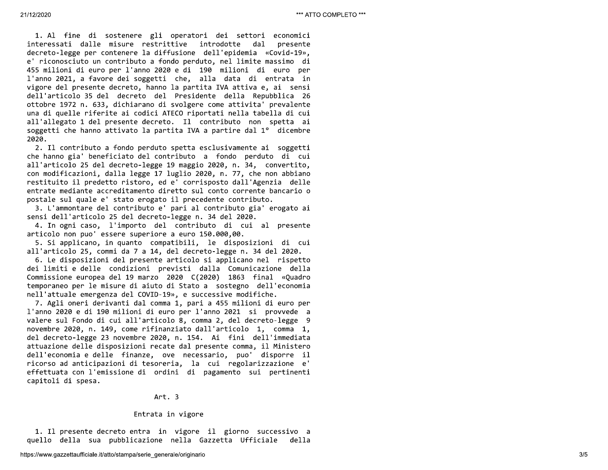21/12/2020<br>
1. Al fine<br>
interessati da<br>
decreto-legge p<br>
e' riconosciuto<br>
455 mmiloni di 21/12/2020<br>
1. Al fine di<br>
interessati dall<br>
decreto-legge per<br>
e' riconosciuto u<br>
455 milioni di eu <sup>21/12/2020</sup><br>
1. Al fine di sostenere gli operatori dei settori economici<br>
interessati dalle misure restrittive introdotte dal presente<br>
decreto-legge per contenere la diffusione dell'epidemia «Covid-19»,<br>
e' riconosciuto \*\*\* ATTO COMPLETO \*\*\*<br>economici<br>presente<br>pvid-19»,<br>ssimo di<br>euro per 2(202020)<br>
2(202020)<br>
2(1) Alice di sostemere pli estatori dei settori conventita<br>
interte-logge pri contenere pli estatori dei settori al convitto all'estatori di merici dei settori dei settori di merici dei settori di m

1. Il presente<br>quello della su<br>https://www.gazzettaufficiale 1. Il presente<br>quello della sua<br>https://www.gazzettaufficiale. Ar<br>Entrata<br>1. Il presente decreto entra i<br>quello della sua pubblicazione<br>https://www.gazzettaufficiale.it/atto/stampa/serie\_ger Art.<br>Entrata in<br>Il presente decreto entra in<br>lo della sua pubblicazione n<br>ww.gazzettaufficiale.it/atto/stampa/serie\_general Art. 3<br>Entrata in vigore<br>presente decreto entra in vigore<br>della sua pubblicazione nella<br>gazzettaufficiale.it/atto/stampa/serie\_generale/origina Art. 3<br>Entrata in vigore<br>ente decreto entra in vigore il gior<br>a sua pubblicazione nella Gazzetta<br>ufficiale.it/atto/stampa/serie\_generale/originario Art. 3<br>Entrata in vigore<br>to entra in vigore il giorno successivo a<br>bblicazione nella Gazzetta Ufficiale della<br>tampa/serie\_generale/originario 3/5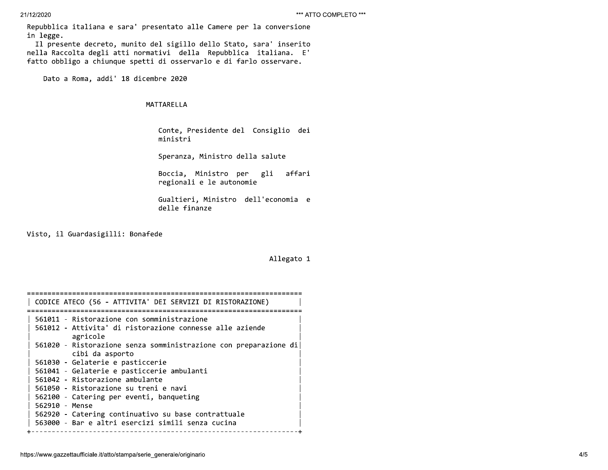Repubblica italiana e sara' presentato alle Camere per la conversione in legge.

Il presente decreto, munito del sigillo dello Stato, sara' inserito nella Raccolta degli atti normativi della Repubblica italiana. E' fatto obbligo a chiunque spetti di osservarlo e di farlo osservare.

Dato a Roma, addi' 18 dicembre 2020

### MATTARELLA

Conte, Presidente del Consiglio dei ministri

Speranza, Ministro della salute

Boccia, Ministro per gli affari regionali e le autonomie

Gualtieri, Ministro dell'economia e delle finanze

Visto, il Guardasigilli: Bonafede

## Allegato 1

| CODICE ATECO (56 - ATTIVITA' DEI SERVIZI DI RISTORAZIONE)        |
|------------------------------------------------------------------|
|                                                                  |
| 561011 - Ristorazione con somministrazione                       |
| 561012 - Attivita' di ristorazione connesse alle aziende         |
| agricole                                                         |
| 561020 - Ristorazione senza somministrazione con preparazione di |
| cibi da asporto                                                  |
|                                                                  |
| 561030 - Gelaterie e pasticcerie                                 |
| 561041 - Gelaterie e pasticcerie ambulanti                       |
| 561042 - Ristorazione ambulante                                  |
| 561050 - Ristorazione su treni e navi                            |
| 562100 - Catering per eventi, banqueting                         |
|                                                                  |
| 562910 - Mense                                                   |
| 562920 - Catering continuativo su base contrattuale              |
| 563000 - Bar e altri esercizi simili senza cucina                |
|                                                                  |
|                                                                  |